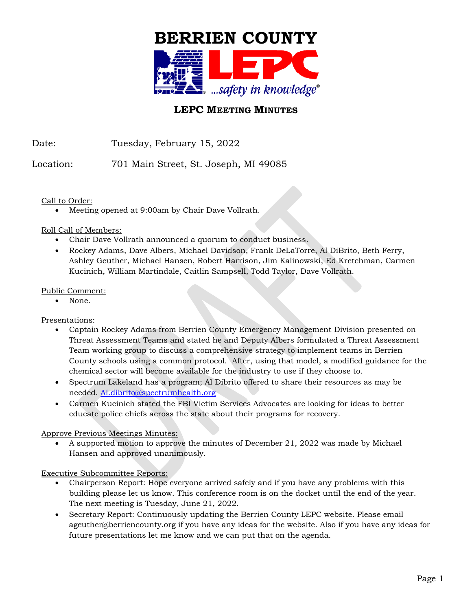

# **LEPC MEETING MINUTES**

Date: Tuesday, February 15, 2022

Location: 701 Main Street, St. Joseph, MI 49085

Call to Order:

Meeting opened at 9:00am by Chair Dave Vollrath.

Roll Call of Members:

- Chair Dave Vollrath announced a quorum to conduct business.
- Rockey Adams, Dave Albers, Michael Davidson, Frank DeLaTorre, Al DiBrito, Beth Ferry, Ashley Geuther, Michael Hansen, Robert Harrison, Jim Kalinowski, Ed Kretchman, Carmen Kucinich, William Martindale, Caitlin Sampsell, Todd Taylor, Dave Vollrath.

Public Comment:

None.

Presentations:

- Captain Rockey Adams from Berrien County Emergency Management Division presented on Threat Assessment Teams and stated he and Deputy Albers formulated a Threat Assessment Team working group to discuss a comprehensive strategy to implement teams in Berrien County schools using a common protocol. After, using that model, a modified guidance for the chemical sector will become available for the industry to use if they choose to.
- Spectrum Lakeland has a program; Al Dibrito offered to share their resources as may be needed. [Al.dibrito@spectrumhealth.org](mailto:Al.dibrito@spectrumhealth.org)
- Carmen Kucinich stated the FBI Victim Services Advocates are looking for ideas to better educate police chiefs across the state about their programs for recovery.

Approve Previous Meetings Minutes:

• A supported motion to approve the minutes of December 21, 2022 was made by Michael Hansen and approved unanimously.

Executive Subcommittee Reports:

- Chairperson Report: Hope everyone arrived safely and if you have any problems with this building please let us know. This conference room is on the docket until the end of the year. The next meeting is Tuesday, June 21, 2022.
- Secretary Report: Continuously updating the Berrien County LEPC website. Please email ageuther@berriencounty.org if you have any ideas for the website. Also if you have any ideas for future presentations let me know and we can put that on the agenda.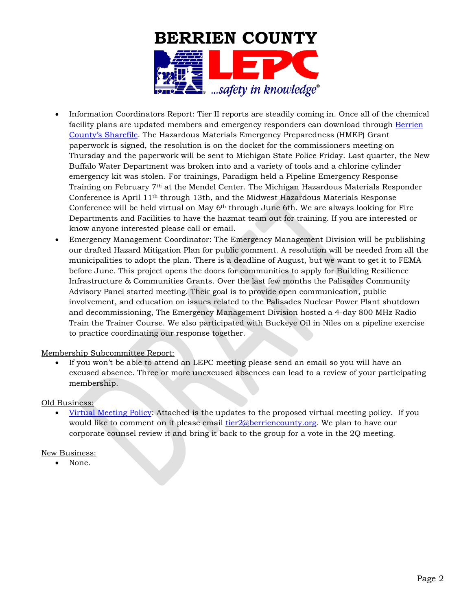

- Information Coordinators Report: Tier II reports are steadily coming in. Once all of the chemical facility plans are updated members and emergency responders can download through Berrien [County's Sharefile.](https://berrien-county.sharefile.com/Authentication/Login) The Hazardous Materials Emergency Preparedness (HMEP) Grant paperwork is signed, the resolution is on the docket for the commissioners meeting on Thursday and the paperwork will be sent to Michigan State Police Friday. Last quarter, the New Buffalo Water Department was broken into and a variety of tools and a chlorine cylinder emergency kit was stolen. For trainings, Paradigm held a Pipeline Emergency Response Training on February 7th at the Mendel Center. The Michigan Hazardous Materials Responder Conference is April  $11<sup>th</sup>$  through 13th, and the Midwest Hazardous Materials Response Conference will be held virtual on May  $6<sup>th</sup>$  through June 6th. We are always looking for Fire Departments and Facilities to have the hazmat team out for training. If you are interested or know anyone interested please call or email.
- Emergency Management Coordinator: The Emergency Management Division will be publishing our drafted Hazard Mitigation Plan for public comment. A resolution will be needed from all the municipalities to adopt the plan. There is a deadline of August, but we want to get it to FEMA before June. This project opens the doors for communities to apply for Building Resilience Infrastructure & Communities Grants. Over the last few months the Palisades Community Advisory Panel started meeting. Their goal is to provide open communication, public involvement, and education on issues related to the Palisades Nuclear Power Plant shutdown and decommissioning, The Emergency Management Division hosted a 4-day 800 MHz Radio Train the Trainer Course. We also participated with Buckeye Oil in Niles on a pipeline exercise to practice coordinating our response together.

## Membership Subcommittee Report:

If you won't be able to attend an LEPC meeting please send an email so you will have an excused absence. Three or more unexcused absences can lead to a review of your participating membership.

## Old Business:

• [Virtual Meeting Policy:](https://www.berriencounty.org/DocumentCenter/View/15430/LEPC-Board-Policy-Digital-and-Virtual-Meetings-version-11) Attached is the updates to the proposed virtual meeting policy. If you would like to comment on it please email tier 2@berriencounty.org. We plan to have our corporate counsel review it and bring it back to the group for a vote in the 2Q meeting.

#### New Business:

None.